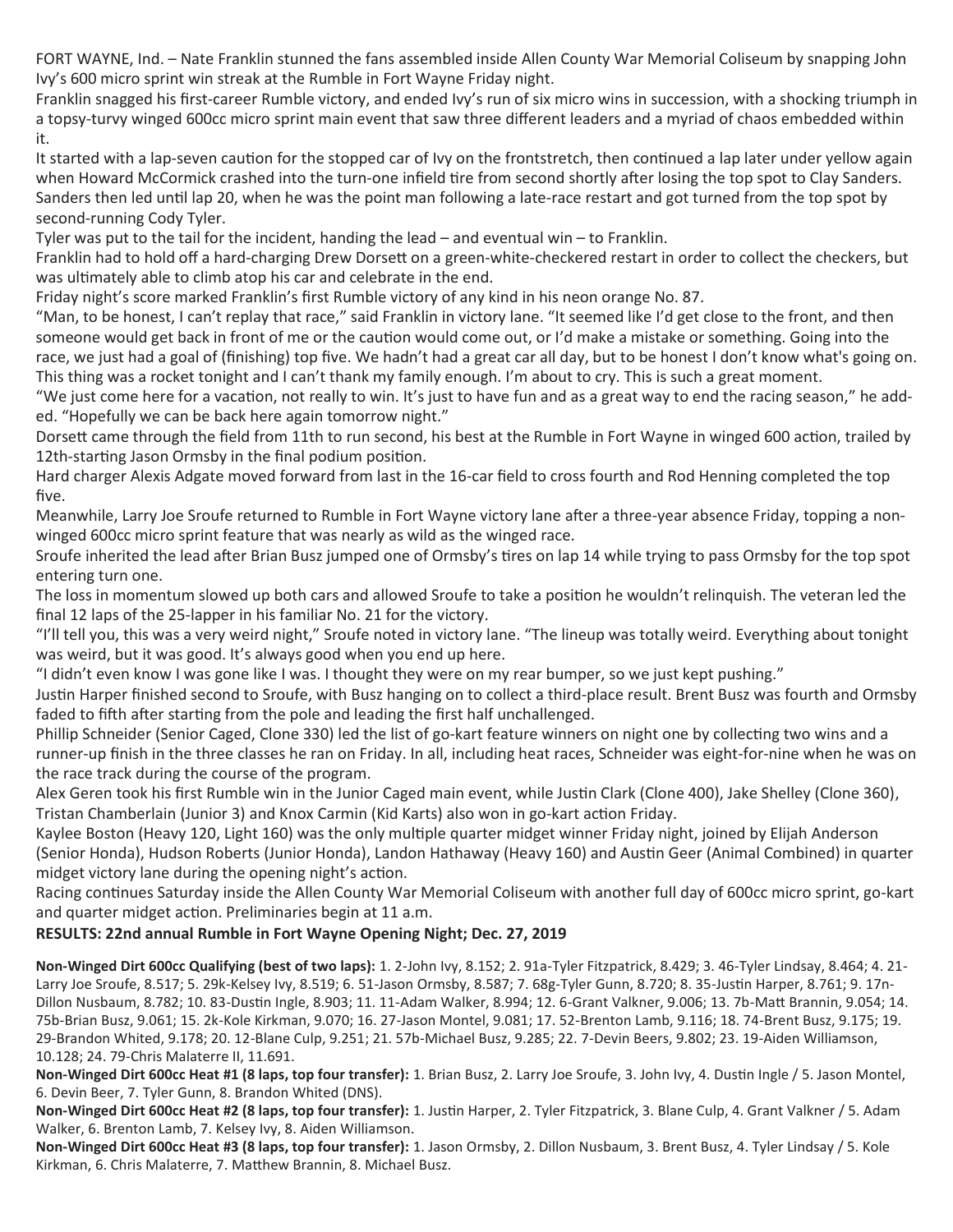FORT WAYNE, Ind. – Nate Franklin stunned the fans assembled inside Allen County War Memorial Coliseum by snapping John Ivy's 600 micro sprint win streak at the Rumble in Fort Wayne Friday night.

Franklin snagged his first-career Rumble victory, and ended Ivy's run of six micro wins in succession, with a shocking triumph in a topsy-turvy winged 600cc micro sprint main event that saw three different leaders and a myriad of chaos embedded within it.

It started with a lap-seven caution for the stopped car of Ivy on the frontstretch, then continued a lap later under yellow again when Howard McCormick crashed into the turn-one infield tire from second shortly after losing the top spot to Clay Sanders. Sanders then led until lap 20, when he was the point man following a late-race restart and got turned from the top spot by second-running Cody Tyler.

Tyler was put to the tail for the incident, handing the lead – and eventual win – to Franklin.

Franklin had to hold off a hard-charging Drew Dorsett on a green-white-checkered restart in order to collect the checkers, but was ultimately able to climb atop his car and celebrate in the end.

Friday night's score marked Franklin's first Rumble victory of any kind in his neon orange No. 87.

"Man, to be honest, I can't replay that race," said Franklin in victory lane. "It seemed like I'd get close to the front, and then someone would get back in front of me or the caution would come out, or I'd make a mistake or something. Going into the race, we just had a goal of (finishing) top five. We hadn't had a great car all day, but to be honest I don't know what's going on. This thing was a rocket tonight and I can't thank my family enough. I'm about to cry. This is such a great moment.

"We just come here for a vacation, not really to win. It's just to have fun and as a great way to end the racing season," he added. "Hopefully we can be back here again tomorrow night."

Dorsett came through the field from 11th to run second, his best at the Rumble in Fort Wayne in winged 600 action, trailed by 12th-starting Jason Ormsby in the final podium position.

Hard charger Alexis Adgate moved forward from last in the 16-car field to cross fourth and Rod Henning completed the top five.

Meanwhile, Larry Joe Sroufe returned to Rumble in Fort Wayne victory lane after a three-year absence Friday, topping a nonwinged 600cc micro sprint feature that was nearly as wild as the winged race.

Sroufe inherited the lead after Brian Busz jumped one of Ormsby's tires on lap 14 while trying to pass Ormsby for the top spot entering turn one.

The loss in momentum slowed up both cars and allowed Sroufe to take a position he wouldn't relinquish. The veteran led the final 12 laps of the 25-lapper in his familiar No. 21 for the victory.

"I'll tell you, this was a very weird night," Sroufe noted in victory lane. "The lineup was totally weird. Everything about tonight was weird, but it was good. It's always good when you end up here.

"I didn't even know I was gone like I was. I thought they were on my rear bumper, so we just kept pushing."

Justin Harper finished second to Sroufe, with Busz hanging on to collect a third-place result. Brent Busz was fourth and Ormsby faded to fifth after starting from the pole and leading the first half unchallenged.

Phillip Schneider (Senior Caged, Clone 330) led the list of go-kart feature winners on night one by collecting two wins and a runner-up finish in the three classes he ran on Friday. In all, including heat races, Schneider was eight-for-nine when he was on the race track during the course of the program.

Alex Geren took his first Rumble win in the Junior Caged main event, while Justin Clark (Clone 400), Jake Shelley (Clone 360), Tristan Chamberlain (Junior 3) and Knox Carmin (Kid Karts) also won in go-kart action Friday.

Kaylee Boston (Heavy 120, Light 160) was the only multiple quarter midget winner Friday night, joined by Elijah Anderson (Senior Honda), Hudson Roberts (Junior Honda), Landon Hathaway (Heavy 160) and Austin Geer (Animal Combined) in quarter midget victory lane during the opening night's action.

Racing continues Saturday inside the Allen County War Memorial Coliseum with another full day of 600cc micro sprint, go-kart and quarter midget action. Preliminaries begin at 11 a.m.

## **RESULTS: 22nd annual Rumble in Fort Wayne Opening Night; Dec. 27, 2019**

**Non-Winged Dirt 600cc Qualifying (best of two laps):** 1. 2-John Ivy, 8.152; 2. 91a-Tyler Fitzpatrick, 8.429; 3. 46-Tyler Lindsay, 8.464; 4. 21- Larry Joe Sroufe, 8.517; 5. 29k-Kelsey Ivy, 8.519; 6. 51-Jason Ormsby, 8.587; 7. 68g-Tyler Gunn, 8.720; 8. 35-Justin Harper, 8.761; 9. 17n-Dillon Nusbaum, 8.782; 10. 83-Dustin Ingle, 8.903; 11. 11-Adam Walker, 8.994; 12. 6-Grant Valkner, 9.006; 13. 7b-Matt Brannin, 9.054; 14. 75b-Brian Busz, 9.061; 15. 2k-Kole Kirkman, 9.070; 16. 27-Jason Montel, 9.081; 17. 52-Brenton Lamb, 9.116; 18. 74-Brent Busz, 9.175; 19. 29-Brandon Whited, 9.178; 20. 12-Blane Culp, 9.251; 21. 57b-Michael Busz, 9.285; 22. 7-Devin Beers, 9.802; 23. 19-Aiden Williamson, 10.128; 24. 79-Chris Malaterre II, 11.691.

**Non-Winged Dirt 600cc Heat #1 (8 laps, top four transfer):** 1. Brian Busz, 2. Larry Joe Sroufe, 3. John Ivy, 4. Dustin Ingle / 5. Jason Montel, 6. Devin Beer, 7. Tyler Gunn, 8. Brandon Whited (DNS).

**Non-Winged Dirt 600cc Heat #2 (8 laps, top four transfer):** 1. Justin Harper, 2. Tyler Fitzpatrick, 3. Blane Culp, 4. Grant Valkner / 5. Adam Walker, 6. Brenton Lamb, 7. Kelsey Ivy, 8. Aiden Williamson.

**Non-Winged Dirt 600cc Heat #3 (8 laps, top four transfer):** 1. Jason Ormsby, 2. Dillon Nusbaum, 3. Brent Busz, 4. Tyler Lindsay / 5. Kole Kirkman, 6. Chris Malaterre, 7. Matthew Brannin, 8. Michael Busz.